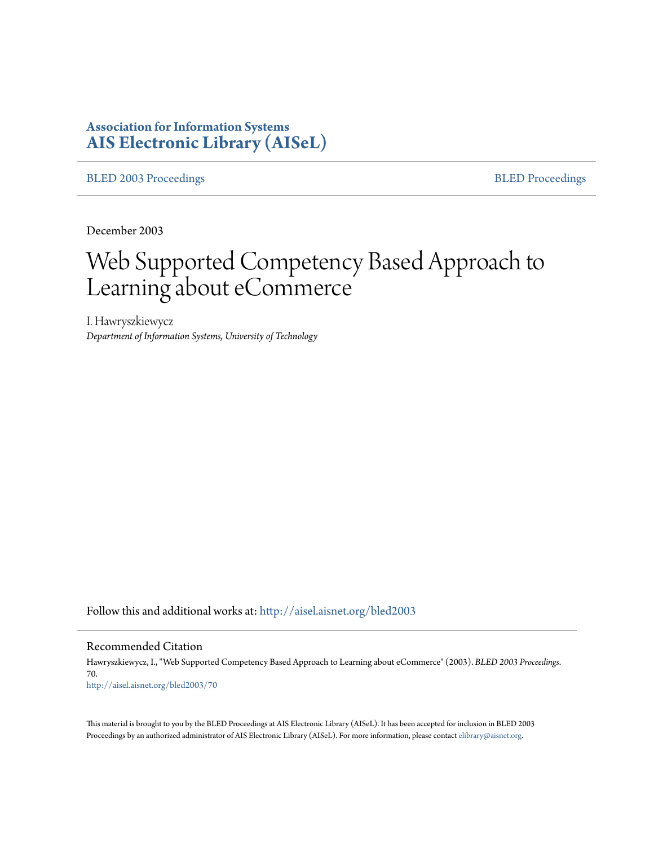# **Association for Information Systems [AIS Electronic Library \(AISeL\)](http://aisel.aisnet.org?utm_source=aisel.aisnet.org%2Fbled2003%2F70&utm_medium=PDF&utm_campaign=PDFCoverPages)**

[BLED 2003 Proceedings](http://aisel.aisnet.org/bled2003?utm_source=aisel.aisnet.org%2Fbled2003%2F70&utm_medium=PDF&utm_campaign=PDFCoverPages) and the state of the state of the [BLED Proceedings](http://aisel.aisnet.org/bled?utm_source=aisel.aisnet.org%2Fbled2003%2F70&utm_medium=PDF&utm_campaign=PDFCoverPages) and the BLED Proceedings and the BLED Proceedings and the BLED Proceedings and the BLED Proceedings and the BLED Proceedings and the BLED Proceedings

December 2003

# Web Supported Competency Based Approach to Learning about eCommerce

I. Hawryszkiewycz *Department of Information Systems, University of Technology*

Follow this and additional works at: [http://aisel.aisnet.org/bled2003](http://aisel.aisnet.org/bled2003?utm_source=aisel.aisnet.org%2Fbled2003%2F70&utm_medium=PDF&utm_campaign=PDFCoverPages)

#### Recommended Citation

Hawryszkiewycz, I., "Web Supported Competency Based Approach to Learning about eCommerce" (2003). *BLED 2003 Proceedings*. 70. [http://aisel.aisnet.org/bled2003/70](http://aisel.aisnet.org/bled2003/70?utm_source=aisel.aisnet.org%2Fbled2003%2F70&utm_medium=PDF&utm_campaign=PDFCoverPages)

This material is brought to you by the BLED Proceedings at AIS Electronic Library (AISeL). It has been accepted for inclusion in BLED 2003 Proceedings by an authorized administrator of AIS Electronic Library (AISeL). For more information, please contact [elibrary@aisnet.org](mailto:elibrary@aisnet.org%3E).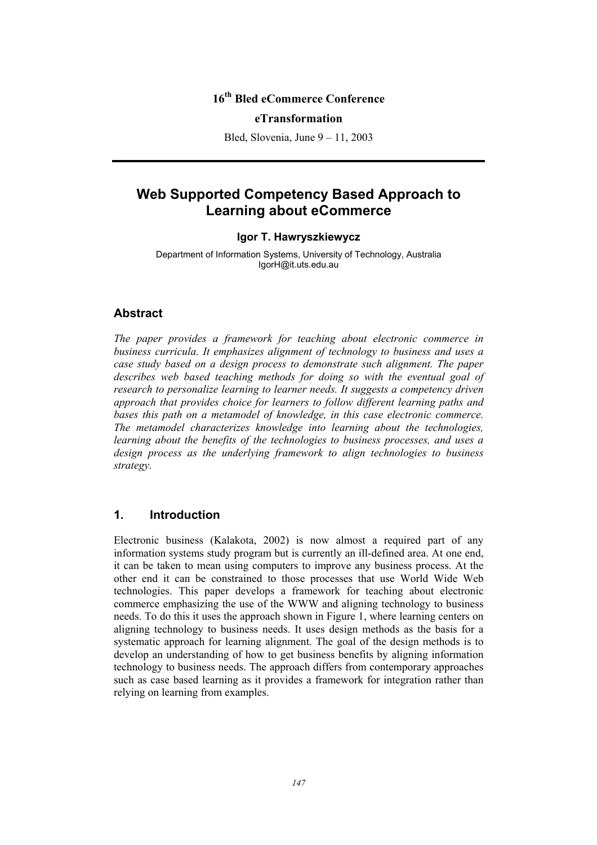# **16th Bled eCommerce Conference**

#### **eTransformation**

Bled, Slovenia, June 9 – 11, 2003

# **Web Supported Competency Based Approach to Learning about eCommerce**

#### **Igor T. Hawryszkiewycz**

Department of Information Systems, University of Technology, Australia IgorH@it.uts.edu.au

#### **Abstract**

*The paper provides a framework for teaching about electronic commerce in business curricula. It emphasizes alignment of technology to business and uses a case study based on a design process to demonstrate such alignment. The paper describes web based teaching methods for doing so with the eventual goal of research to personalize learning to learner needs. It suggests a competency driven approach that provides choice for learners to follow different learning paths and bases this path on a metamodel of knowledge, in this case electronic commerce. The metamodel characterizes knowledge into learning about the technologies, learning about the benefits of the technologies to business processes, and uses a design process as the underlying framework to align technologies to business strategy.* 

#### **1. Introduction**

Electronic business (Kalakota, 2002) is now almost a required part of any information systems study program but is currently an ill-defined area. At one end, it can be taken to mean using computers to improve any business process. At the other end it can be constrained to those processes that use World Wide Web technologies. This paper develops a framework for teaching about electronic commerce emphasizing the use of the WWW and aligning technology to business needs. To do this it uses the approach shown in Figure 1, where learning centers on aligning technology to business needs. It uses design methods as the basis for a systematic approach for learning alignment. The goal of the design methods is to develop an understanding of how to get business benefits by aligning information technology to business needs. The approach differs from contemporary approaches such as case based learning as it provides a framework for integration rather than relying on learning from examples.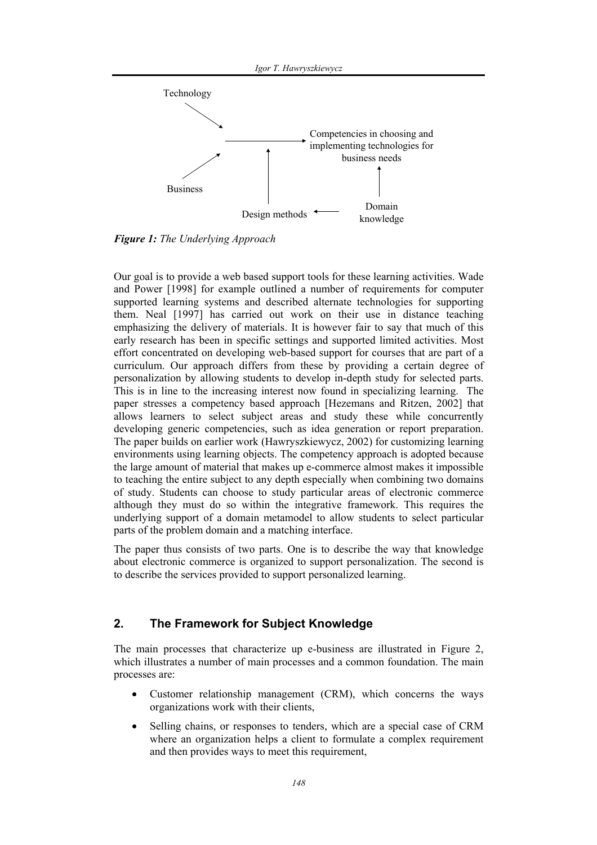

*Figure 1: The Underlying Approach* 

Our goal is to provide a web based support tools for these learning activities. Wade and Power [1998] for example outlined a number of requirements for computer supported learning systems and described alternate technologies for supporting them. Neal [1997] has carried out work on their use in distance teaching emphasizing the delivery of materials. It is however fair to say that much of this early research has been in specific settings and supported limited activities. Most effort concentrated on developing web-based support for courses that are part of a curriculum. Our approach differs from these by providing a certain degree of personalization by allowing students to develop in-depth study for selected parts. This is in line to the increasing interest now found in specializing learning. The paper stresses a competency based approach [Hezemans and Ritzen, 2002] that allows learners to select subject areas and study these while concurrently developing generic competencies, such as idea generation or report preparation. The paper builds on earlier work (Hawryszkiewycz, 2002) for customizing learning environments using learning objects. The competency approach is adopted because the large amount of material that makes up e-commerce almost makes it impossible to teaching the entire subject to any depth especially when combining two domains of study. Students can choose to study particular areas of electronic commerce although they must do so within the integrative framework. This requires the underlying support of a domain metamodel to allow students to select particular parts of the problem domain and a matching interface.

The paper thus consists of two parts. One is to describe the way that knowledge about electronic commerce is organized to support personalization. The second is to describe the services provided to support personalized learning.

#### **2. The Framework for Subject Knowledge**

The main processes that characterize up e-business are illustrated in Figure 2, which illustrates a number of main processes and a common foundation. The main processes are:

- Customer relationship management (CRM), which concerns the ways organizations work with their clients,
- Selling chains, or responses to tenders, which are a special case of CRM where an organization helps a client to formulate a complex requirement and then provides ways to meet this requirement,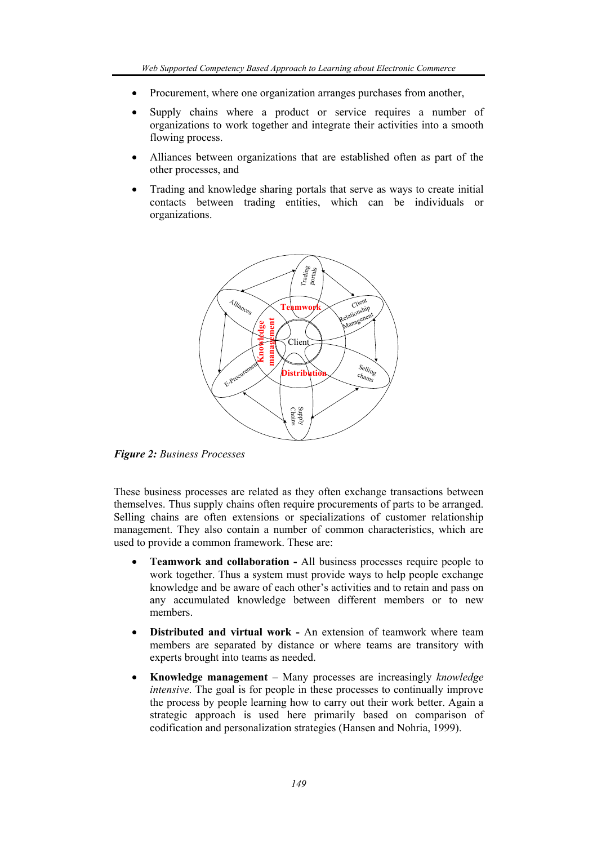- Procurement, where one organization arranges purchases from another,
- Supply chains where a product or service requires a number of organizations to work together and integrate their activities into a smooth flowing process.
- Alliances between organizations that are established often as part of the other processes, and
- Trading and knowledge sharing portals that serve as ways to create initial contacts between trading entities, which can be individuals or organizations.



*Figure 2: Business Processes* 

These business processes are related as they often exchange transactions between themselves. Thus supply chains often require procurements of parts to be arranged. Selling chains are often extensions or specializations of customer relationship management. They also contain a number of common characteristics, which are used to provide a common framework. These are:

- **Teamwork and collaboration** All business processes require people to work together. Thus a system must provide ways to help people exchange knowledge and be aware of each other's activities and to retain and pass on any accumulated knowledge between different members or to new members.
- **Distributed and virtual work An extension of teamwork where team** members are separated by distance or where teams are transitory with experts brought into teams as needed.
- **Knowledge management** Many processes are increasingly *knowledge intensive*. The goal is for people in these processes to continually improve the process by people learning how to carry out their work better. Again a strategic approach is used here primarily based on comparison of codification and personalization strategies (Hansen and Nohria, 1999).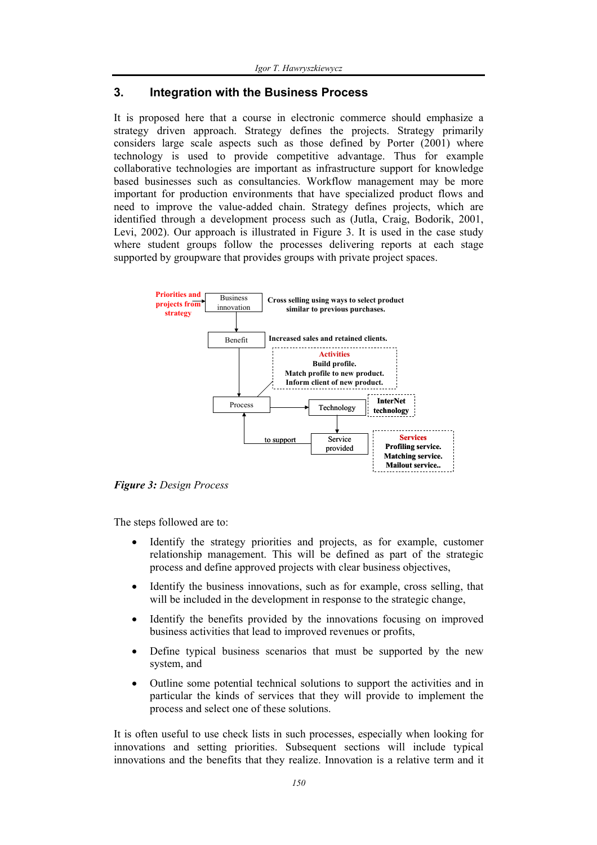#### **3. Integration with the Business Process**

It is proposed here that a course in electronic commerce should emphasize a strategy driven approach. Strategy defines the projects. Strategy primarily considers large scale aspects such as those defined by Porter (2001) where technology is used to provide competitive advantage. Thus for example collaborative technologies are important as infrastructure support for knowledge based businesses such as consultancies. Workflow management may be more important for production environments that have specialized product flows and need to improve the value-added chain. Strategy defines projects, which are identified through a development process such as (Jutla, Craig, Bodorik, 2001, Levi, 2002). Our approach is illustrated in Figure 3. It is used in the case study where student groups follow the processes delivering reports at each stage supported by groupware that provides groups with private project spaces.



*Figure 3: Design Process* 

The steps followed are to:

- Identify the strategy priorities and projects, as for example, customer relationship management. This will be defined as part of the strategic process and define approved projects with clear business objectives,
- Identify the business innovations, such as for example, cross selling, that will be included in the development in response to the strategic change.
- Identify the benefits provided by the innovations focusing on improved business activities that lead to improved revenues or profits,
- Define typical business scenarios that must be supported by the new system, and
- Outline some potential technical solutions to support the activities and in particular the kinds of services that they will provide to implement the process and select one of these solutions.

It is often useful to use check lists in such processes, especially when looking for innovations and setting priorities. Subsequent sections will include typical innovations and the benefits that they realize. Innovation is a relative term and it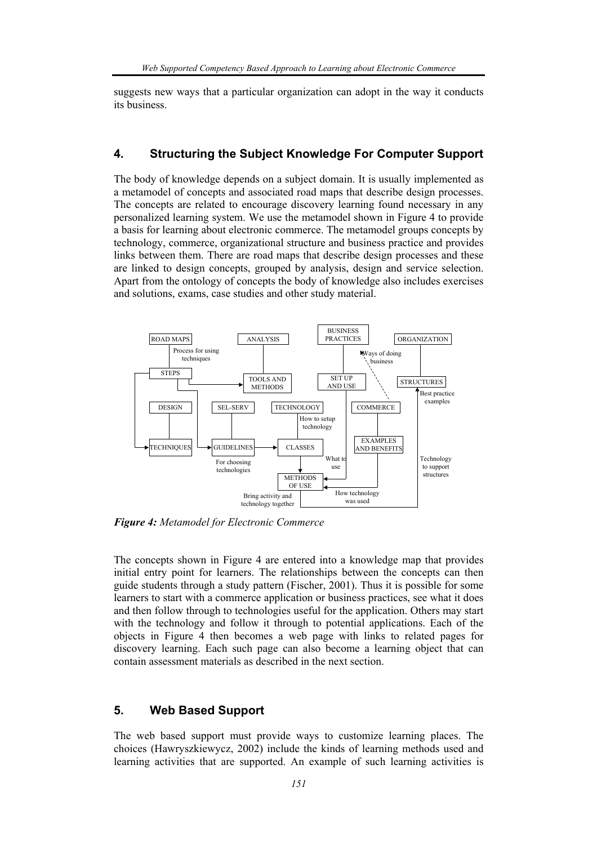suggests new ways that a particular organization can adopt in the way it conducts its business.

#### **4. Structuring the Subject Knowledge For Computer Support**

The body of knowledge depends on a subject domain. It is usually implemented as a metamodel of concepts and associated road maps that describe design processes. The concepts are related to encourage discovery learning found necessary in any personalized learning system. We use the metamodel shown in Figure 4 to provide a basis for learning about electronic commerce. The metamodel groups concepts by technology, commerce, organizational structure and business practice and provides links between them. There are road maps that describe design processes and these are linked to design concepts, grouped by analysis, design and service selection. Apart from the ontology of concepts the body of knowledge also includes exercises and solutions, exams, case studies and other study material.



*Figure 4: Metamodel for Electronic Commerce* 

The concepts shown in Figure 4 are entered into a knowledge map that provides initial entry point for learners. The relationships between the concepts can then guide students through a study pattern (Fischer, 2001). Thus it is possible for some learners to start with a commerce application or business practices, see what it does and then follow through to technologies useful for the application. Others may start with the technology and follow it through to potential applications. Each of the objects in Figure 4 then becomes a web page with links to related pages for discovery learning. Each such page can also become a learning object that can contain assessment materials as described in the next section.

## **5. Web Based Support**

The web based support must provide ways to customize learning places. The choices (Hawryszkiewycz, 2002) include the kinds of learning methods used and learning activities that are supported. An example of such learning activities is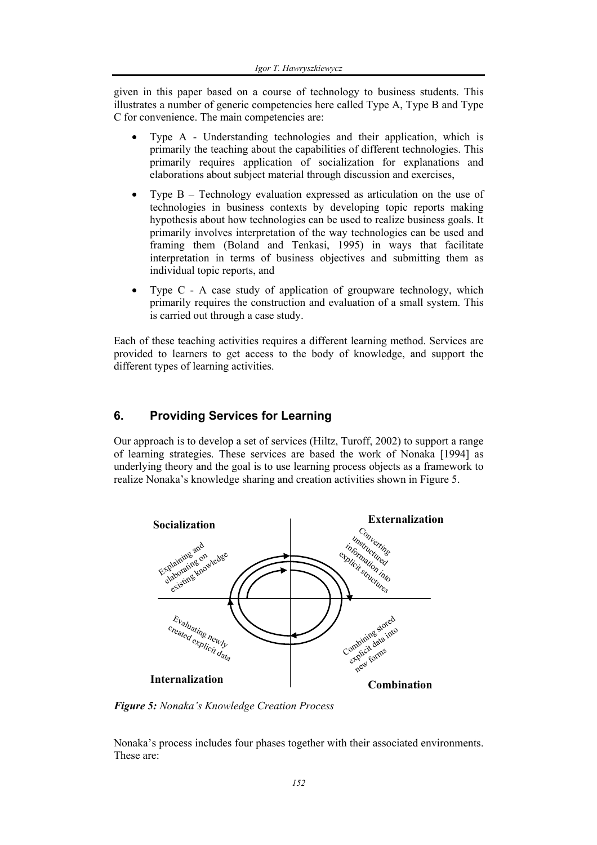given in this paper based on a course of technology to business students. This illustrates a number of generic competencies here called Type A, Type B and Type C for convenience. The main competencies are:

- Type A Understanding technologies and their application, which is primarily the teaching about the capabilities of different technologies. This primarily requires application of socialization for explanations and elaborations about subject material through discussion and exercises,
- Type  $B$  Technology evaluation expressed as articulation on the use of technologies in business contexts by developing topic reports making hypothesis about how technologies can be used to realize business goals. It primarily involves interpretation of the way technologies can be used and framing them (Boland and Tenkasi, 1995) in ways that facilitate interpretation in terms of business objectives and submitting them as individual topic reports, and
- Type C A case study of application of groupware technology, which primarily requires the construction and evaluation of a small system. This is carried out through a case study.

Each of these teaching activities requires a different learning method. Services are provided to learners to get access to the body of knowledge, and support the different types of learning activities.

## **6. Providing Services for Learning**

Our approach is to develop a set of services (Hiltz, Turoff, 2002) to support a range of learning strategies. These services are based the work of Nonaka [1994] as underlying theory and the goal is to use learning process objects as a framework to realize Nonaka's knowledge sharing and creation activities shown in Figure 5.



*Figure 5: Nonaka's Knowledge Creation Process* 

Nonaka's process includes four phases together with their associated environments. These are: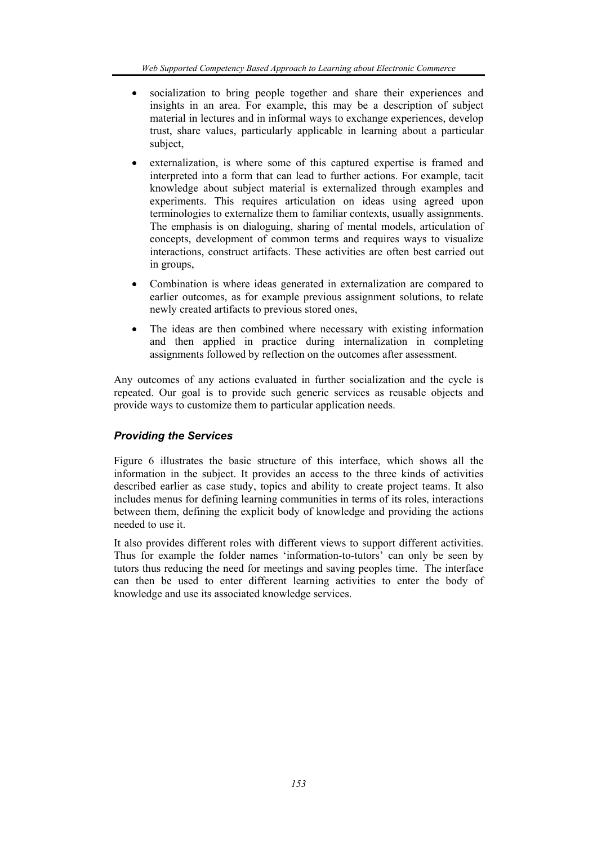- socialization to bring people together and share their experiences and insights in an area. For example, this may be a description of subject material in lectures and in informal ways to exchange experiences, develop trust, share values, particularly applicable in learning about a particular subject,
- externalization, is where some of this captured expertise is framed and interpreted into a form that can lead to further actions. For example, tacit knowledge about subject material is externalized through examples and experiments. This requires articulation on ideas using agreed upon terminologies to externalize them to familiar contexts, usually assignments. The emphasis is on dialoguing, sharing of mental models, articulation of concepts, development of common terms and requires ways to visualize interactions, construct artifacts. These activities are often best carried out in groups,
- Combination is where ideas generated in externalization are compared to earlier outcomes, as for example previous assignment solutions, to relate newly created artifacts to previous stored ones,
- The ideas are then combined where necessary with existing information and then applied in practice during internalization in completing assignments followed by reflection on the outcomes after assessment.

Any outcomes of any actions evaluated in further socialization and the cycle is repeated. Our goal is to provide such generic services as reusable objects and provide ways to customize them to particular application needs.

## *Providing the Services*

Figure 6 illustrates the basic structure of this interface, which shows all the information in the subject. It provides an access to the three kinds of activities described earlier as case study, topics and ability to create project teams. It also includes menus for defining learning communities in terms of its roles, interactions between them, defining the explicit body of knowledge and providing the actions needed to use it.

It also provides different roles with different views to support different activities. Thus for example the folder names 'information-to-tutors' can only be seen by tutors thus reducing the need for meetings and saving peoples time. The interface can then be used to enter different learning activities to enter the body of knowledge and use its associated knowledge services.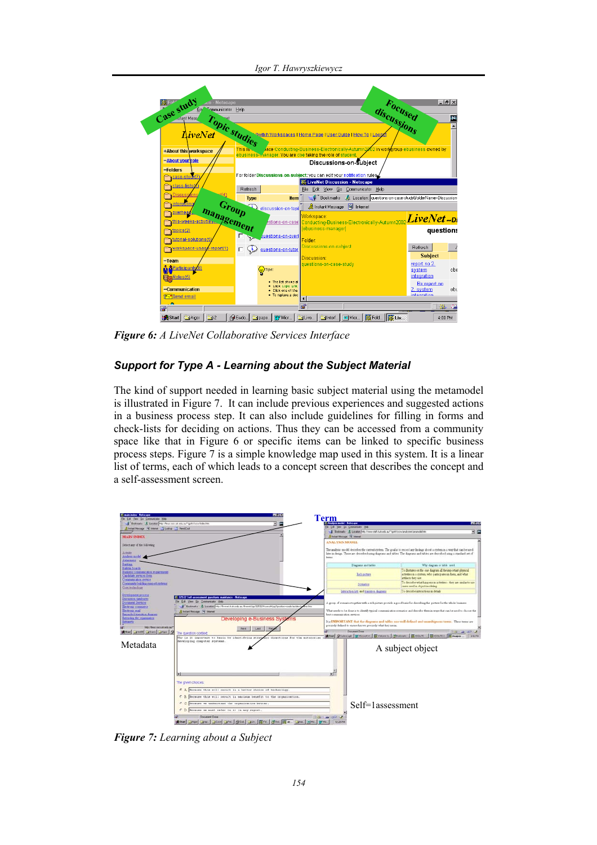**Focused**  stud<sup>1</sup>  $|.|$ al $\times$ **discussions Topic studies Oup** ebusiness of +About this **Inches** -About your Discussions-on-Subject -Folders **Case-stude** Enr folder iect: you can edit your notific **W** LiveNet Discussion - Net **Cass-lists** Refresh File Edit View Go Comm Help **Discus** Fookmarks A Location: questions-on-case-study&folderName=Discus Type lien **Group Exercise management Management** S Instant Message [5] Interne **Experiment** /orkspace LiveNet-Di topics(2) questions tutorial-solutions alder Refresh **Morkspace-usa**  $\square$   $\bigodot$  guestions-on-tuto Subject **liscussio**  $-Team$ report no 2. **Manufacturer**  $\mathbb{Q}$ Tips: system<br>integration cbe **nive**<br>Cha<mark>rcoles(5)</mark> Recreport -Communication .<br>Ahi **T-Send email**  $\mathbb{Z}^n$ 4:08 PM

*Igor T. Hawryszkiewycz* 

*Figure 6: A LiveNet Collaborative Services Interface* 

# *Support for Type A - Learning about the Subject Material*

The kind of support needed in learning basic subject material using the metamodel is illustrated in Figure 7. It can include previous experiences and suggested actions in a business process step. It can also include guidelines for filling in forms and check-lists for deciding on actions. Thus they can be accessed from a community space like that in Figure 6 or specific items can be linked to specific business process steps. Figure 7 is a simple knowledge map used in this system. It is a linear list of terms, each of which leads to a concept screen that describes the concept and a self-assessment screen.



*Figure 7: Learning about a Subject*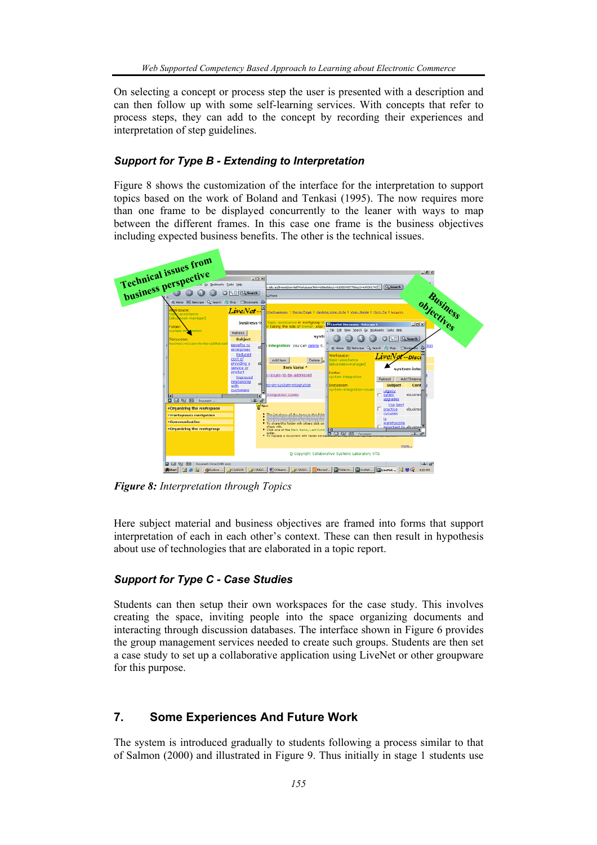On selecting a concept or process step the user is presented with a description and can then follow up with some self-learning services. With concepts that refer to process steps, they can add to the concept by recording their experiences and interpretation of step guidelines.

### *Support for Type B - Extending to Interpretation*

Figure 8 shows the customization of the interface for the interpretation to support topics based on the work of Boland and Tenkasi (1995). The now requires more than one frame to be displayed concurrently to the leaner with ways to map between the different frames. In this case one frame is the business objectives including expected business benefits. The other is the technical issues.



*Figure 8: Interpretation through Topics* 

Here subject material and business objectives are framed into forms that support interpretation of each in each other's context. These can then result in hypothesis about use of technologies that are elaborated in a topic report.

## *Support for Type C - Case Studies*

Students can then setup their own workspaces for the case study. This involves creating the space, inviting people into the space organizing documents and interacting through discussion databases. The interface shown in Figure 6 provides the group management services needed to create such groups. Students are then set a case study to set up a collaborative application using LiveNet or other groupware for this purpose.

## **7. Some Experiences And Future Work**

The system is introduced gradually to students following a process similar to that of Salmon (2000) and illustrated in Figure 9. Thus initially in stage 1 students use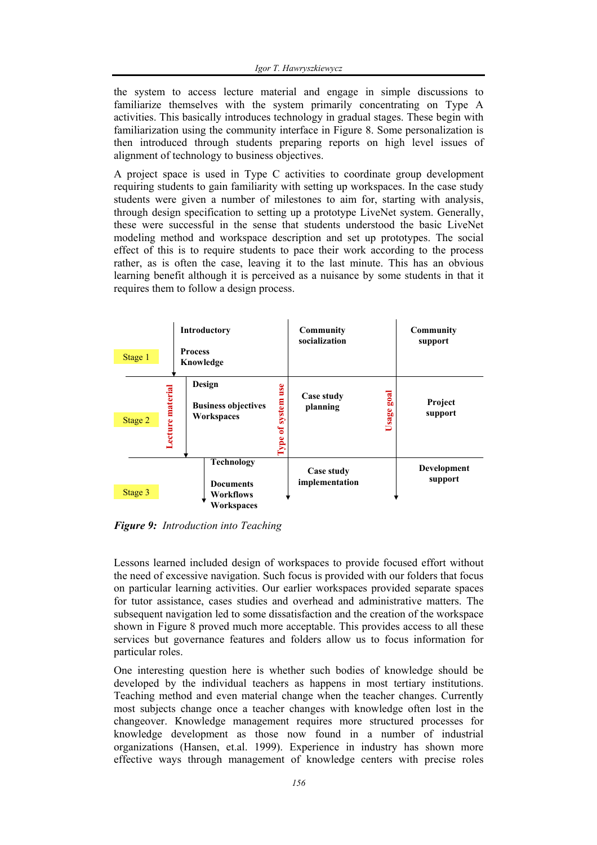the system to access lecture material and engage in simple discussions to familiarize themselves with the system primarily concentrating on Type A activities. This basically introduces technology in gradual stages. These begin with familiarization using the community interface in Figure 8. Some personalization is then introduced through students preparing reports on high level issues of alignment of technology to business objectives.

A project space is used in Type C activities to coordinate group development requiring students to gain familiarity with setting up workspaces. In the case study students were given a number of milestones to aim for, starting with analysis, through design specification to setting up a prototype LiveNet system. Generally, these were successful in the sense that students understood the basic LiveNet modeling method and workspace description and set up prototypes. The social effect of this is to require students to pace their work according to the process rather, as is often the case, leaving it to the last minute. This has an obvious learning benefit although it is perceived as a nuisance by some students in that it requires them to follow a design process.

| Stage 1 | Introductory<br><b>Process</b><br>Knowledge                                   | Community<br>socialization                                             | Community<br>support   |
|---------|-------------------------------------------------------------------------------|------------------------------------------------------------------------|------------------------|
| Stage 2 | Design<br><b>Lecture</b> material<br><b>Business objectives</b><br>Workspaces | use<br>goal<br>Case study<br>system<br>planning<br>Usage<br>đ<br>l'ype | Project<br>support     |
| Stage 3 | Technology<br><b>Documents</b><br>Workflows<br>Workspaces                     | Case study<br>implementation                                           | Development<br>support |

*Figure 9: Introduction into Teaching* 

Lessons learned included design of workspaces to provide focused effort without the need of excessive navigation. Such focus is provided with our folders that focus on particular learning activities. Our earlier workspaces provided separate spaces for tutor assistance, cases studies and overhead and administrative matters. The subsequent navigation led to some dissatisfaction and the creation of the workspace shown in Figure 8 proved much more acceptable. This provides access to all these services but governance features and folders allow us to focus information for particular roles.

One interesting question here is whether such bodies of knowledge should be developed by the individual teachers as happens in most tertiary institutions. Teaching method and even material change when the teacher changes. Currently most subjects change once a teacher changes with knowledge often lost in the changeover. Knowledge management requires more structured processes for knowledge development as those now found in a number of industrial organizations (Hansen, et.al. 1999). Experience in industry has shown more effective ways through management of knowledge centers with precise roles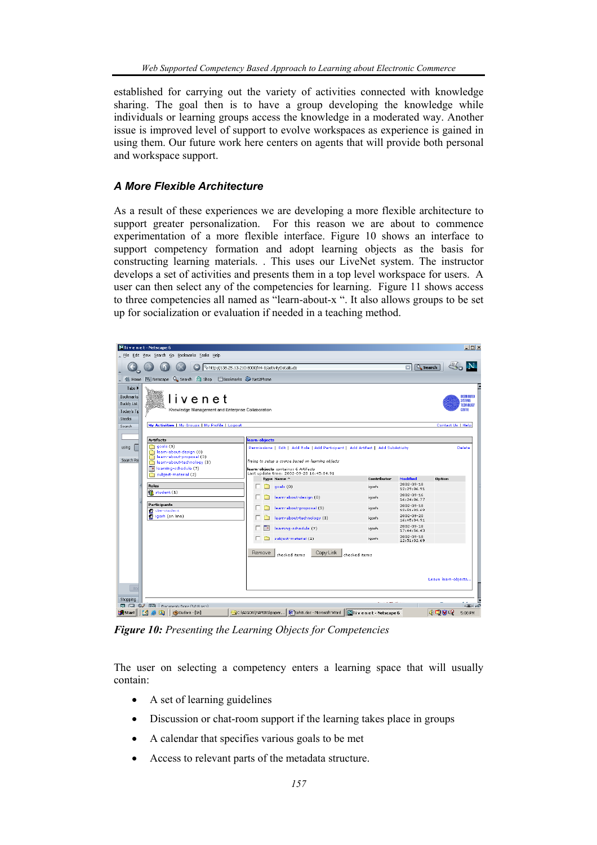established for carrying out the variety of activities connected with knowledge sharing. The goal then is to have a group developing the knowledge while individuals or learning groups access the knowledge in a moderated way. Another issue is improved level of support to evolve workspaces as experience is gained in using them. Our future work here centers on agents that will provide both personal and workspace support.

#### *A More Flexible Architecture*

As a result of these experiences we are developing a more flexible architecture to support greater personalization. For this reason we are about to commence experimentation of a more flexible interface. Figure 10 shows an interface to support competency formation and adopt learning objects as the basis for constructing learning materials. . This uses our LiveNet system. The instructor develops a set of activities and presents them in a top level workspace for users. A user can then select any of the competencies for learning. Figure 11 shows access to three competencies all named as "learn-about-x ". It also allows groups to be set up for socialization or evaluation if needed in a teaching method.



*Figure 10: Presenting the Learning Objects for Competencies* 

The user on selecting a competency enters a learning space that will usually contain:

- A set of learning guidelines
- Discussion or chat-room support if the learning takes place in groups
- A calendar that specifies various goals to be met
- Access to relevant parts of the metadata structure.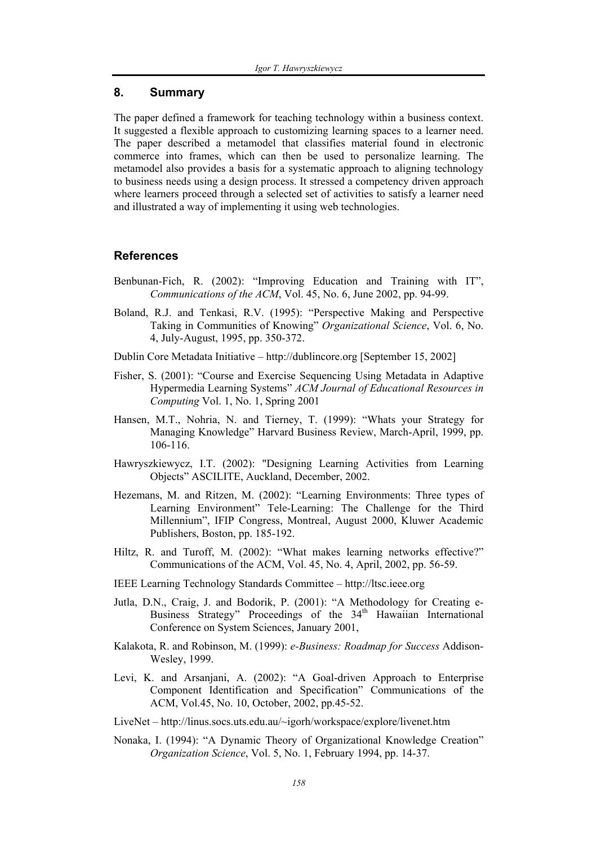#### **8. Summary**

The paper defined a framework for teaching technology within a business context. It suggested a flexible approach to customizing learning spaces to a learner need. The paper described a metamodel that classifies material found in electronic commerce into frames, which can then be used to personalize learning. The metamodel also provides a basis for a systematic approach to aligning technology to business needs using a design process. It stressed a competency driven approach where learners proceed through a selected set of activities to satisfy a learner need and illustrated a way of implementing it using web technologies.

#### **References**

- Benbunan-Fich, R. (2002): "Improving Education and Training with IT", *Communications of the ACM*, Vol. 45, No. 6, June 2002, pp. 94-99.
- Boland, R.J. and Tenkasi, R.V. (1995): "Perspective Making and Perspective Taking in Communities of Knowing" *Organizational Science*, Vol. 6, No. 4, July-August, 1995, pp. 350-372.
- Dublin Core Metadata Initiative http://dublincore.org [September 15, 2002]
- Fisher, S. (2001): "Course and Exercise Sequencing Using Metadata in Adaptive Hypermedia Learning Systems" *ACM Journal of Educational Resources in Computing* Vol. 1, No. 1, Spring 2001
- Hansen, M.T., Nohria, N. and Tierney, T. (1999): "Whats your Strategy for Managing Knowledge" Harvard Business Review, March-April, 1999, pp. 106-116.
- Hawryszkiewycz, I.T. (2002): "Designing Learning Activities from Learning Objects" ASCILITE, Auckland, December, 2002.
- Hezemans, M. and Ritzen, M. (2002): "Learning Environments: Three types of Learning Environment" Tele-Learning: The Challenge for the Third Millennium", IFIP Congress, Montreal, August 2000, Kluwer Academic Publishers, Boston, pp. 185-192.
- Hiltz, R. and Turoff, M. (2002): "What makes learning networks effective?" Communications of the ACM, Vol. 45, No. 4, April, 2002, pp. 56-59.
- IEEE Learning Technology Standards Committee http://ltsc.ieee.org
- Jutla, D.N., Craig, J. and Bodorik, P. (2001): "A Methodology for Creating e-Business Strategy" Proceedings of the 34<sup>th</sup> Hawaiian International Conference on System Sciences, January 2001,
- Kalakota, R. and Robinson, M. (1999): *e-Business: Roadmap for Success* Addison-Wesley, 1999.
- Levi, K. and Arsanjani, A. (2002): "A Goal-driven Approach to Enterprise Component Identification and Specification" Communications of the ACM, Vol.45, No. 10, October, 2002, pp.45-52.
- LiveNet http://linus.socs.uts.edu.au/~igorh/workspace/explore/livenet.htm
- Nonaka, I. (1994): "A Dynamic Theory of Organizational Knowledge Creation" *Organization Science*, Vol. 5, No. 1, February 1994, pp. 14-37.